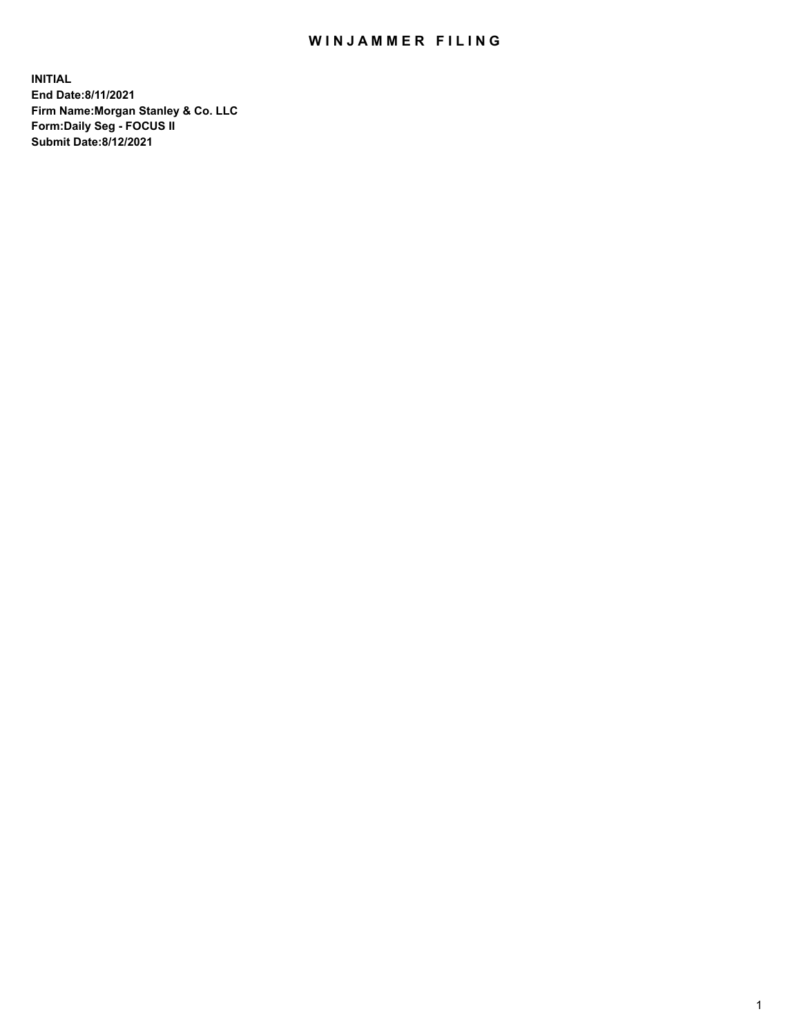## WIN JAMMER FILING

**INITIAL End Date:8/11/2021 Firm Name:Morgan Stanley & Co. LLC Form:Daily Seg - FOCUS II Submit Date:8/12/2021**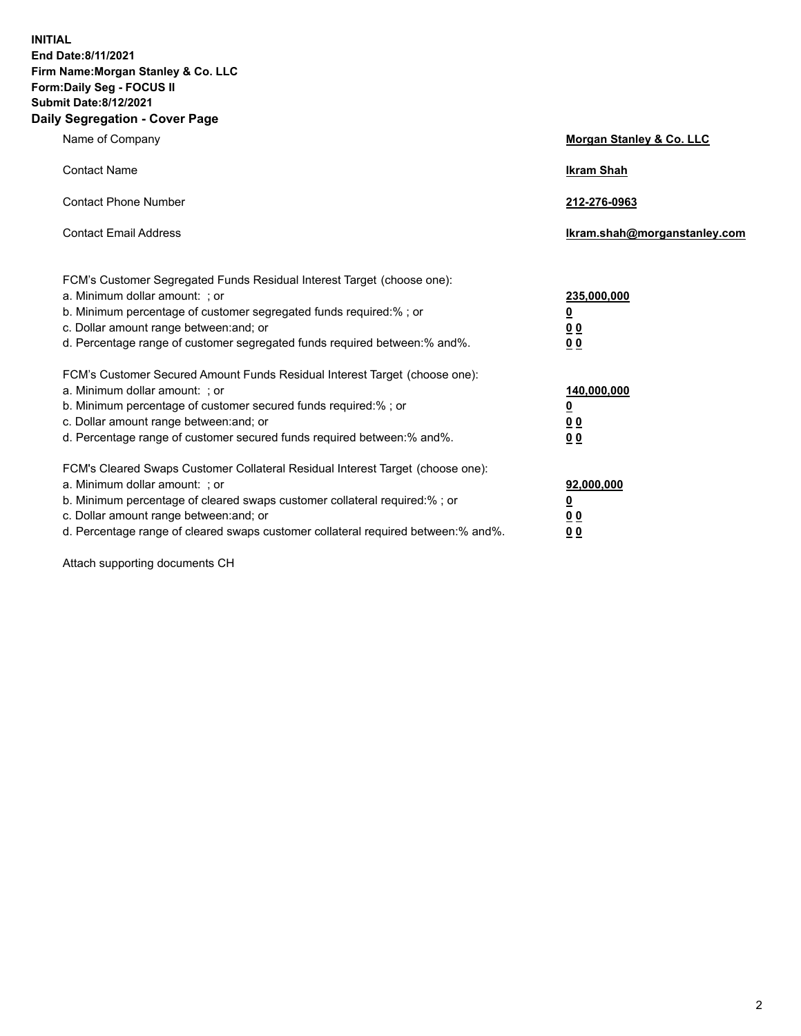**INITIAL End Date:8/11/2021 Firm Name:Morgan Stanley & Co. LLC Form:Daily Seg - FOCUS II Submit Date:8/12/2021 Daily Segregation - Cover Page**

| Name of Company                                                                                                                                                                                                                                                                                                               | Morgan Stanley & Co. LLC                               |
|-------------------------------------------------------------------------------------------------------------------------------------------------------------------------------------------------------------------------------------------------------------------------------------------------------------------------------|--------------------------------------------------------|
| <b>Contact Name</b>                                                                                                                                                                                                                                                                                                           | <b>Ikram Shah</b>                                      |
| <b>Contact Phone Number</b>                                                                                                                                                                                                                                                                                                   | 212-276-0963                                           |
| <b>Contact Email Address</b>                                                                                                                                                                                                                                                                                                  | Ikram.shah@morganstanley.com                           |
| FCM's Customer Segregated Funds Residual Interest Target (choose one):<br>a. Minimum dollar amount: ; or<br>b. Minimum percentage of customer segregated funds required:% ; or<br>c. Dollar amount range between: and; or<br>d. Percentage range of customer segregated funds required between:% and%.                        | 235,000,000<br><u>0</u><br><u>00</u><br>0 <sup>0</sup> |
| FCM's Customer Secured Amount Funds Residual Interest Target (choose one):<br>a. Minimum dollar amount: ; or<br>b. Minimum percentage of customer secured funds required:%; or<br>c. Dollar amount range between: and; or<br>d. Percentage range of customer secured funds required between:% and%.                           | 140,000,000<br><u>0</u><br><u>00</u><br>0 <sub>0</sub> |
| FCM's Cleared Swaps Customer Collateral Residual Interest Target (choose one):<br>a. Minimum dollar amount: ; or<br>b. Minimum percentage of cleared swaps customer collateral required:%; or<br>c. Dollar amount range between: and; or<br>d. Percentage range of cleared swaps customer collateral required between:% and%. | 92,000,000<br><u>0</u><br>0 Q<br>00                    |

Attach supporting documents CH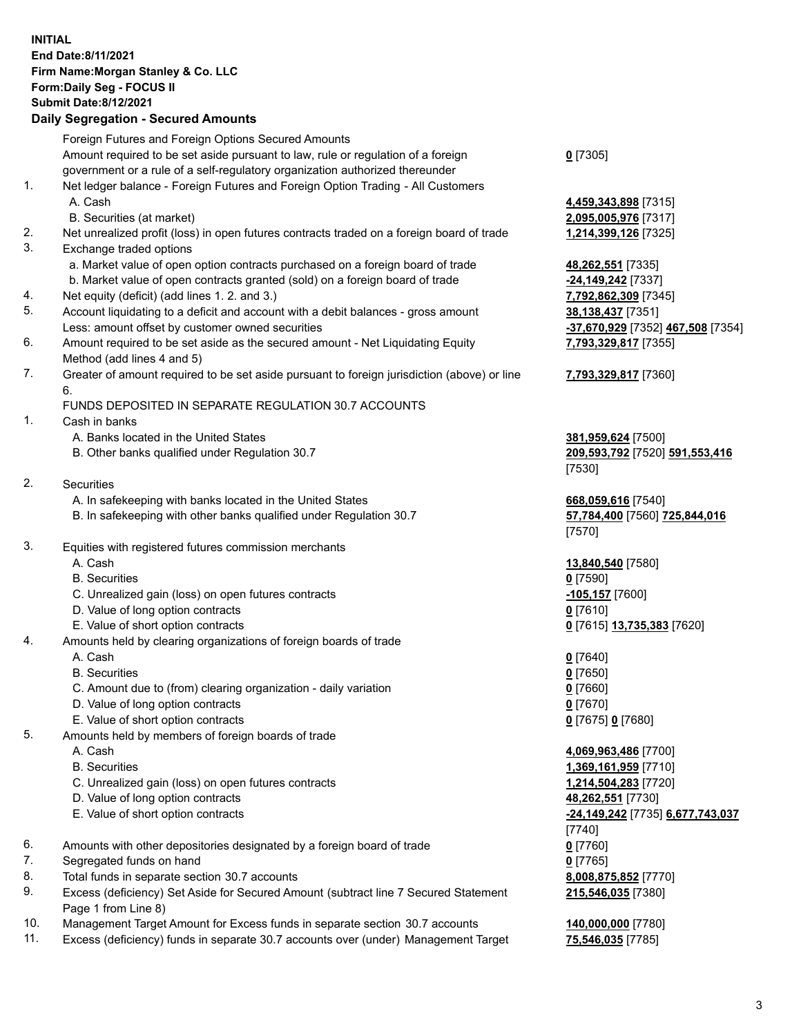## **INITIAL End Date:8/11/2021 Firm Name:Morgan Stanley & Co. LLC Form:Daily Seg - FOCUS II Submit Date:8/12/2021**

**Daily Segregation - Secured Amounts** Foreign Futures and Foreign Options Secured Amounts Amount required to be set aside pursuant to law, rule or regulation of a foreign government or a rule of a self-regulatory organization authorized thereunder 1. Net ledger balance - Foreign Futures and Foreign Option Trading - All Customers A. Cash **4,459,343,898** [7315] B. Securities (at market) **2,095,005,976** [7317] 2. Net unrealized profit (loss) in open futures contracts traded on a foreign board of trade **1,214,399,126** [7325] 3. Exchange traded options a. Market value of open option contracts purchased on a foreign board of trade **48,262,551** [7335] b. Market value of open contracts granted (sold) on a foreign board of trade **-24,149,242** [7337] 4. Net equity (deficit) (add lines 1. 2. and 3.) **7,792,862,309** [7345] 5. Account liquidating to a deficit and account with a debit balances - gross amount **38,138,437** [7351] Less: amount offset by customer owned securities **-37,670,929** [7352] **467,508** [7354] 6. Amount required to be set aside as the secured amount - Net Liquidating Equity Method (add lines 4 and 5) 7. Greater of amount required to be set aside pursuant to foreign jurisdiction (above) or line 6. FUNDS DEPOSITED IN SEPARATE REGULATION 30.7 ACCOUNTS 1. Cash in banks A. Banks located in the United States **381,959,624** [7500] B. Other banks qualified under Regulation 30.7 **209,593,792** [7520] **591,553,416** 2. Securities A. In safekeeping with banks located in the United States **668,059,616** [7540] B. In safekeeping with other banks qualified under Regulation 30.7 **57,784,400** [7560] **725,844,016** 3. Equities with registered futures commission merchants A. Cash **13,840,540** [7580] B. Securities **0** [7590] C. Unrealized gain (loss) on open futures contracts **-105,157** [7600] D. Value of long option contracts **0** [7610] E. Value of short option contracts **0** [7615] **13,735,383** [7620] 4. Amounts held by clearing organizations of foreign boards of trade A. Cash **0** [7640] B. Securities **0** [7650] C. Amount due to (from) clearing organization - daily variation **0** [7660] D. Value of long option contracts **0** [7670] E. Value of short option contracts **0** [7675] **0** [7680] 5. Amounts held by members of foreign boards of trade A. Cash **4,069,963,486** [7700]

- 
- 
- C. Unrealized gain (loss) on open futures contracts **1,214,504,283** [7720]
- D. Value of long option contracts **48,262,551** [7730]
- 
- 6. Amounts with other depositories designated by a foreign board of trade **0** [7760]
- 7. Segregated funds on hand **0** [7765]
- 8. Total funds in separate section 30.7 accounts **8,008,875,852** [7770]
- 9. Excess (deficiency) Set Aside for Secured Amount (subtract line 7 Secured Statement Page 1 from Line 8)
- 10. Management Target Amount for Excess funds in separate section 30.7 accounts **140,000,000** [7780]
- 11. Excess (deficiency) funds in separate 30.7 accounts over (under) Management Target **75,546,035** [7785]

**0** [7305]

**7,793,329,817** [7355]

## **7,793,329,817** [7360]

[7530]

[7570]

 B. Securities **1,369,161,959** [7710] E. Value of short option contracts **-24,149,242** [7735] **6,677,743,037** [7740] **215,546,035** [7380]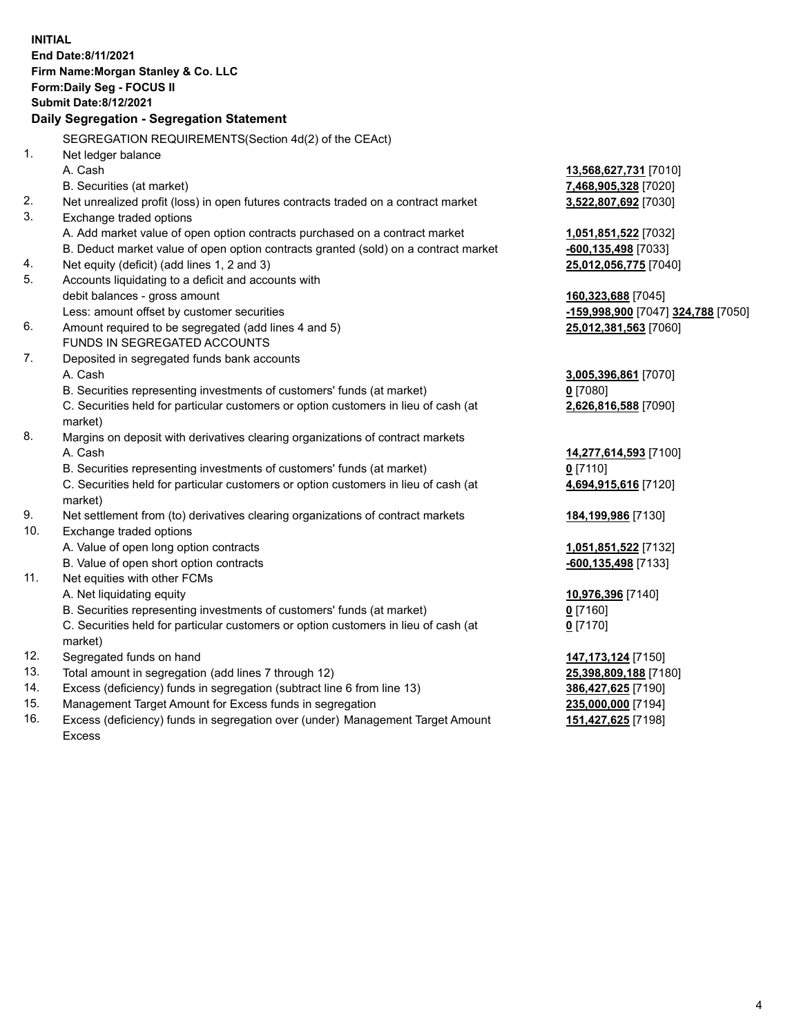**INITIAL End Date:8/11/2021 Firm Name:Morgan Stanley & Co. LLC Form:Daily Seg - FOCUS II Submit Date:8/12/2021 Daily Segregation - Segregation Statement** SEGREGATION REQUIREMENTS(Section 4d(2) of the CEAct) 1. Net ledger balance A. Cash **13,568,627,731** [7010] B. Securities (at market) **7,468,905,328** [7020] 2. Net unrealized profit (loss) in open futures contracts traded on a contract market **3,522,807,692** [7030] 3. Exchange traded options A. Add market value of open option contracts purchased on a contract market **1,051,851,522** [7032] B. Deduct market value of open option contracts granted (sold) on a contract market **-600,135,498** [7033] 4. Net equity (deficit) (add lines 1, 2 and 3) **25,012,056,775** [7040] 5. Accounts liquidating to a deficit and accounts with debit balances - gross amount **160,323,688** [7045] Less: amount offset by customer securities **-159,998,900** [7047] **324,788** [7050] 6. Amount required to be segregated (add lines 4 and 5) **25,012,381,563** [7060] FUNDS IN SEGREGATED ACCOUNTS 7. Deposited in segregated funds bank accounts A. Cash **3,005,396,861** [7070] B. Securities representing investments of customers' funds (at market) **0** [7080] C. Securities held for particular customers or option customers in lieu of cash (at market) **2,626,816,588** [7090] 8. Margins on deposit with derivatives clearing organizations of contract markets A. Cash **14,277,614,593** [7100] B. Securities representing investments of customers' funds (at market) **0** [7110] C. Securities held for particular customers or option customers in lieu of cash (at market) **4,694,915,616** [7120] 9. Net settlement from (to) derivatives clearing organizations of contract markets **184,199,986** [7130] 10. Exchange traded options A. Value of open long option contracts **1,051,851,522** [7132] B. Value of open short option contracts **-600,135,498** [7133] 11. Net equities with other FCMs A. Net liquidating equity **10,976,396** [7140] B. Securities representing investments of customers' funds (at market) **0** [7160] C. Securities held for particular customers or option customers in lieu of cash (at market) **0** [7170] 12. Segregated funds on hand **147,173,124** [7150] 13. Total amount in segregation (add lines 7 through 12) **25,398,809,188** [7180] 14. Excess (deficiency) funds in segregation (subtract line 6 from line 13) **386,427,625** [7190] 15. Management Target Amount for Excess funds in segregation **235,000,000** [7194]

16. Excess (deficiency) funds in segregation over (under) Management Target Amount Excess

**151,427,625** [7198]